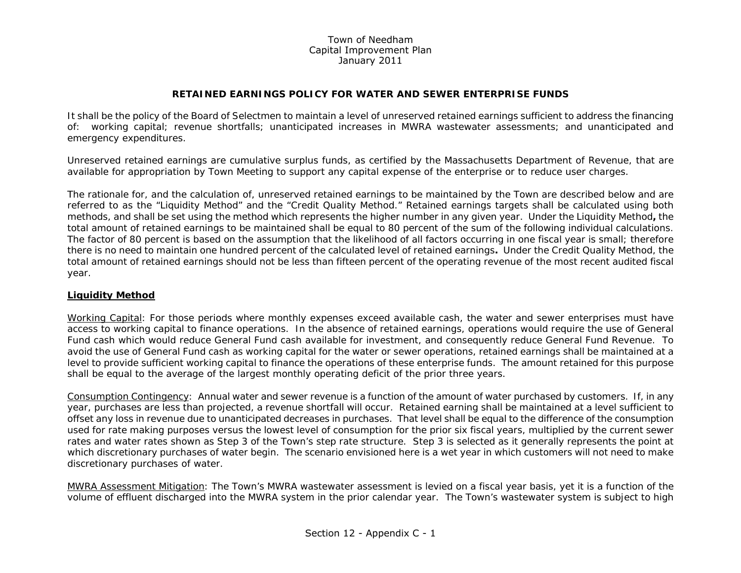## Town of NeedhamCapital Improvement Plan January 2011

## **RETAINED EARNINGS POLICY FOR WATER AND SEWER ENTERPRISE FUNDS**

It shall be the policy of the Board of Selectmen to maintain a level of unreserved retained earnings sufficient to address the financing of: working capital; revenue shortfalls; unanticipated increases in MWRA wastewater assessments; and unanticipated and emergency expenditures.

Unreserved retained earnings are cumulative surplus funds, as certified by the Massachusetts Department of Revenue, that are available for appropriation by Town Meeting to support any capital expense of the enterprise or to reduce user charges.

The rationale for, and the calculation of, unreserved retained earnings to be maintained by the Town are described below and are referred to as the "Liquidity Method" and the "Credit Quality Method." Retained earnings targets shall be calculated using both methods, and shall be set using the method which represents the higher number in any given year. Under the Liquidity Method**,** the total amount of retained earnings to be maintained shall be equal to 80 percent of the sum of the following individual calculations. The factor of 80 percent is based on the assumption that the likelihood of all factors occurring in one fiscal year is small; therefore there is no need to maintain one hundred percent of the calculated level of retained earnings**.** Under the Credit Quality Method, the total amount of retained earnings should not be less than fifteen percent of the operating revenue of the most recent audited fiscal year.

## **Liquidity Method**

Working Capital: For those periods where monthly expenses exceed available cash, the water and sewer enterprises must have access to working capital to finance operations. In the absence of retained earnings, operations would require the use of General Fund cash which would reduce General Fund cash available for investment, and consequently reduce General Fund Revenue. To avoid the use of General Fund cash as working capital for the water or sewer operations, retained earnings shall be maintained at a level to provide sufficient working capital to finance the operations of these enterprise funds. The amount retained for this purpose shall be equal to the average of the largest monthly operating deficit of the prior three years.

Consumption Contingency: Annual water and sewer revenue is a function of the amount of water purchased by customers. If, in any year, purchases are less than projected, a revenue shortfall will occur. Retained earning shall be maintained at a level sufficient to offset any loss in revenue due to unanticipated decreases in purchases. That level shall be equal to the difference of the consumption used for rate making purposes versus the lowest level of consumption for the prior six fiscal years, multiplied by the current sewer rates and water rates shown as Step 3 of the Town's step rate structure. Step 3 is selected as it generally represents the point at which discretionary purchases of water begin. The scenario envisioned here is a wet year in which customers will not need to make discretionary purchases of water.

MWRA Assessment Mitigation: The Town's MWRA wastewater assessment is levied on a fiscal year basis, yet it is a function of the volume of effluent discharged into the MWRA system in the prior calendar year. The Town's wastewater system is subject to high